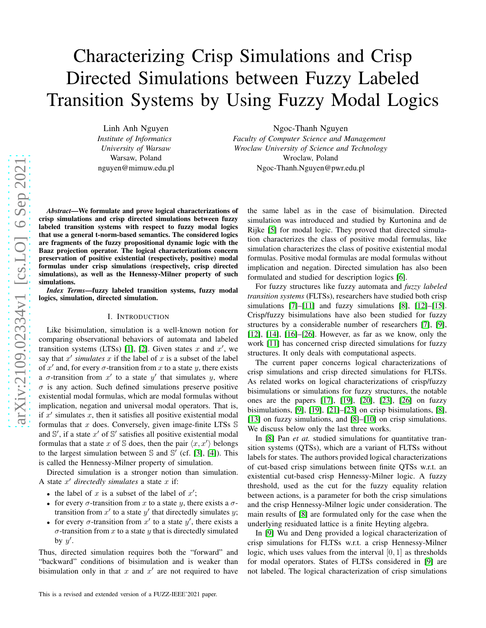# Characterizing Crisp Simulations and Crisp Directed Simulations between Fuzzy Labeled Transition Systems by Using Fuzzy Modal Logics

Linh Anh Nguyen *Institute of Informatics University of Warsaw* Warsaw, Poland nguyen@mimuw.edu.pl Ngoc-Thanh Nguyen

*Faculty of Computer Science and Management Wroclaw University of Science and Technology* Wroclaw, Poland Ngoc-Thanh.Nguyen@pwr.edu.pl

*Abstract*—We formulate and prove logical characterizations of crisp simulations and crisp directed simulations between fuzzy labeled transition systems with respect to fuzzy modal logics that use a general t-norm-based semantics. The considered logics are fragments of the fuzzy propositional dynamic logic with the Baaz projection operator. The logical characterizations concern preservation of positive existential (respectively, positive) modal formulas under crisp simulations (respectively, crisp directed simulations), as well as the Hennessy-Milner property of such simulations.

*Index Terms*—fuzzy labeled transition systems, fuzzy modal logics, simulation, directed simulation.

#### I. INTRODUCTION

Like bisimulation, simulation is a well-known notion for comparing observational behaviors of automata and labeled transition systems (LTSs) [\[1\]](#page-7-0), [2]. Given states x and  $x'$ , we say that  $x'$  simulates  $x$  if the label of  $x$  is a subset of the label of x' and, for every  $\sigma$ -transition from x to a state y, there exists a  $\sigma$ -transition from  $x'$  to a state  $y'$  that simulates  $y$ , where  $\sigma$  is any action. Such defined simulations preserve positive existential modal formulas, which are modal formulas without implication, negation and universal modal operators. That is, if  $x'$  simulates  $x$ , then it satisfies all positive existential modal formulas that  $x$  does. Conversely, given image-finite LTSs  $\mathbb S$ and  $\mathbb{S}'$ , if a state  $x'$  of  $\mathbb{S}'$  satisfies all positive existential modal formulas that a state x of S does, then the pair  $\langle x, x' \rangle$  belongs to the largest simulation between  $\mathbb S$  and  $\mathbb S'$  (cf. [\[3\]](#page-7-1), [\[4\]](#page-7-2)). This is called the Hennessy-Milner property of simulation.

Directed simulation is a stronger notion than simulation. A state  $x'$  directedly simulates a state  $x$  if:

- the label of x is a subset of the label of  $x'$ ;
- for every  $\sigma$ -transition from x to a state y, there exists a  $\sigma$ transition from  $x'$  to a state  $y'$  that directedly simulates  $y$ ;
- for every  $\sigma$ -transition from  $x'$  to a state  $y'$ , there exists a  $\sigma$ -transition from x to a state y that is directedly simulated by  $y'$ .

Thus, directed simulation requires both the "forward" and "backward" conditions of bisimulation and is weaker than bisimulation only in that x and  $x'$  are not required to have the same label as in the case of bisimulation. Directed simulation was introduced and studied by Kurtonina and de Rijke [\[5\]](#page-7-3) for modal logic. They proved that directed simulation characterizes the class of positive modal formulas, like simulation characterizes the class of positive existential modal formulas. Positive modal formulas are modal formulas without implication and negation. Directed simulation has also bee n formulated and studied for description logics [\[6\]](#page-7-4).

For fuzzy structures like fuzzy automata and *fuzzy labeled transition systems* (FLTSs), researchers have studied both crisp simulations [\[7\]](#page-7-5)–[\[11\]](#page-7-6) and fuzzy simulations [8], [\[12\]](#page-7-7)–[\[15\]](#page-7-8) . Crisp/fuzzy bisimulations have also been studied for fuzzy structures by a considerable number of researchers [\[7\]](#page-7-5), [9] , [\[12\]](#page-7-7), [\[14\]](#page-7-9), [\[16\]](#page-7-10)–[\[26\]](#page-7-11). However, as far as we know, only the work [\[11\]](#page-7-6) has concerned crisp directed simulations for fuzzy structures. It only deals with computational aspects.

The current paper concerns logical characterizations of crisp simulations and crisp directed simulations for FLTSs . As related works on logical characterizations of crisp/fuzzy bisimulations or simulations for fuzzy structures, the notable ones are the papers [\[17\]](#page-7-12), [19], [\[20\]](#page-7-13), [\[23\]](#page-7-14), [\[26\]](#page-7-11) on fuzzy bisimulations, [9], [19], [21]–[\[23\]](#page-7-14) on crisp bisimulations, [8], [13] on fuzzy simulations, and [8]–[\[10\]](#page-7-15) on crisp simulations. We discuss below only the last three works.

In [8] Pan *et at.* studied simulations for quantitative transition systems (QTSs), which are a variant of FLTSs without labels for states. The authors provided logical characterizations of cut-based crisp simulations between finite QTSs w.r.t. an existential cut-based crisp Hennessy-Milner logic. A fuzz y threshold, used as the cut for the fuzzy equality relation between actions, is a parameter for both the crisp simulations and the crisp Hennessy-Milner logic under consideration. The main results of [8] are formulated only for the case when the underlying residuated lattice is a finite Heyting algebra.

In [9] Wu and Deng provided a logical characterization of crisp simulations for FLTSs w.r.t. a crisp Hennessy-Milner logic, which uses values from the interval  $[0, 1]$  as thresholds for modal operators. States of FLTSs considered in [9] are not labeled. The logical characterization of crisp simulations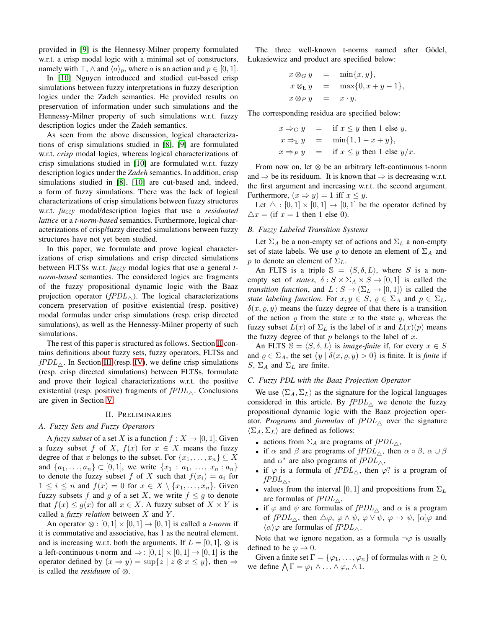provided in [9] is the Hennessy-Milner property formulated w.r.t. a crisp modal logic with a minimal set of constructors, namely with ⊤,  $\wedge$  and  $\langle a \rangle_p$ , where a is an action and  $p \in [0, 1]$ .

In [\[10\]](#page-7-15) Nguyen introduced and studied cut-based crisp simulations between fuzzy interpretations in fuzzy description logics under the Zadeh semantics. He provided results on preservation of information under such simulations and the Hennessy-Milner property of such simulations w.r.t. fuzzy description logics under the Zadeh semantics.

As seen from the above discussion, logical characterizations of crisp simulations studied in [8], [9] are formulated w.r.t. *crisp* modal logics, whereas logical characterizations of crisp simulations studied in [\[10\]](#page-7-15) are formulated w.r.t. fuzzy description logics under the *Zadeh* semantics. In addition, crisp simulations studied in [8], [\[10\]](#page-7-15) are cut-based and, indeed, a form of fuzzy simulations. There was the lack of logical characterizations of crisp simulations between fuzzy structures w.r.t. *fuzzy* modal/description logics that use a *residuated lattice* or a *t-norm-based* semantics. Furthermore, logical characterizations of crisp/fuzzy directed simulations between fuzzy structures have not yet been studied.

In this paper, we formulate and prove logical characterizations of crisp simulations and crisp directed simulations between FLTSs w.r.t. *fuzzy* modal logics that use a general *tnorm-based* semantics. The considered logics are fragments of the fuzzy propositional dynamic logic with the Baaz projection operator ( $fPDL_{\wedge}$ ). The logical characterizations concern preservation of positive existential (resp. positive) modal formulas under crisp simulations (resp. crisp directed simulations), as well as the Hennessy-Milner property of such simulations.

The rest of this paper is structured as follows. Section [II](#page-1-0) contains definitions about fuzzy sets, fuzzy operators, FLTSs and  $fPDL_{\wedge}$ . In Section [III](#page-2-0) (resp. [IV\)](#page-4-0), we define crisp simulations (resp. crisp directed simulations) between FLTSs, formulate and prove their logical characterizations w.r.t. the positive existential (resp. positive) fragments of  $fPDL<sub>\wedge</sub>$ . Conclusions are given in Section [V.](#page-7-16)

## II. PRELIMINARIES

### <span id="page-1-0"></span>*A. Fuzzy Sets and Fuzzy Operators*

A *fuzzy subset* of a set X is a function  $f: X \to [0, 1]$ . Given a fuzzy subset f of X,  $f(x)$  for  $x \in X$  means the fuzzy degree of that x belongs to the subset. For  $\{x_1, \ldots, x_n\} \subseteq X$ and  $\{a_1, \ldots, a_n\} \subset [0, 1]$ , we write  $\{x_1 : a_1, \ldots, x_n : a_n\}$ to denote the fuzzy subset f of X such that  $f(x_i) = a_i$  for  $1 \leq i \leq n$  and  $f(x) = 0$  for  $x \in X \setminus \{x_1, \ldots, x_n\}$ . Given fuzzy subsets f and g of a set X, we write  $f \leq g$  to denote that  $f(x) \leq g(x)$  for all  $x \in X$ . A fuzzy subset of  $X \times Y$  is called a *fuzzy relation* between X and Y .

An operator  $\otimes$  :  $[0, 1] \times [0, 1] \rightarrow [0, 1]$  is called a *t-norm* if it is commutative and associative, has 1 as the neutral element, and is increasing w.r.t. both the arguments. If  $L = [0, 1]$ ,  $\otimes$  is a left-continuous t-norm and  $\Rightarrow$  :  $[0,1] \times [0,1] \rightarrow [0,1]$  is the operator defined by  $(x \Rightarrow y) = \sup\{z \mid z \otimes x \leq y\}$ , then  $\Rightarrow$ is called the *residuum* of  $\otimes$ .

The three well-known t-norms named after Gödel, Łukasiewicz and product are specified below:

$$
x \otimes_G y = \min\{x, y\},
$$
  
\n
$$
x \otimes_L y = \max\{0, x + y - 1\},
$$
  
\n
$$
x \otimes_P y = x \cdot y.
$$

The corresponding residua are specified below:

$$
x \Rightarrow_G y = \text{if } x \le y \text{ then } 1 \text{ else } y,
$$
  
\n
$$
x \Rightarrow_E y = \min\{1, 1 - x + y\},
$$
  
\n
$$
x \Rightarrow_P y = \text{if } x \le y \text{ then } 1 \text{ else } y/x.
$$

From now on, let  $\otimes$  be an arbitrary left-continuous t-norm and  $\Rightarrow$  be its residuum. It is known that  $\Rightarrow$  is decreasing w.r.t. the first argument and increasing w.r.t. the second argument. Furthermore,  $(x \Rightarrow y) = 1$  iff  $x \leq y$ .

Let  $\Delta : [0,1] \times [0,1] \rightarrow [0,1]$  be the operator defined by  $\Delta x = ($ if  $x = 1$  then 1 else 0).

## *B. Fuzzy Labeled Transition Systems*

Let  $\Sigma_A$  be a non-empty set of actions and  $\Sigma_L$  a non-empty set of state labels. We use  $\varrho$  to denote an element of  $\Sigma_A$  and p to denote an element of  $\Sigma_L$ .

An FLTS is a triple  $\mathbb{S} = \langle S, \delta, L \rangle$ , where S is a nonempty set of *states*,  $\delta$ :  $S \times \Sigma_A \times S \rightarrow [0,1]$  is called the *transition function*, and  $L : S \to (\Sigma_L \to [0, 1])$  is called the *state labeling function.* For  $x, y \in S$ ,  $\varrho \in \Sigma_A$  and  $p \in \Sigma_L$ ,  $\delta(x, \varrho, y)$  means the fuzzy degree of that there is a transition of the action  $\rho$  from the state x to the state y, whereas the fuzzy subset  $L(x)$  of  $\Sigma_L$  is the label of x and  $L(x)(p)$  means the fuzzy degree of that  $p$  belongs to the label of  $x$ .

An FLTS  $\mathbb{S} = \langle S, \delta, L \rangle$  is *image-finite* if, for every  $x \in S$ and  $\rho \in \Sigma_A$ , the set  $\{y \mid \delta(x, \rho, y) > 0\}$  is finite. It is *finite* if S,  $\Sigma_A$  and  $\Sigma_L$  are finite.

#### *C. Fuzzy PDL with the Baaz Projection Operator*

We use  $\langle \Sigma_A, \Sigma_L \rangle$  as the signature for the logical languages considered in this article. By  $fPDL_{\triangle}$  we denote the fuzzy propositional dynamic logic with the Baaz projection operator. *Programs* and *formulas* of  $fPDL<sub>\wedge</sub>$  over the signature  $\langle \Sigma_A, \Sigma_L \rangle$  are defined as follows:

- actions from  $\Sigma_A$  are programs of  $fPDL_\triangle$ ,
- if  $\alpha$  and  $\beta$  are programs of  $fPDL_{\wedge}$ , then  $\alpha \circ \beta$ ,  $\alpha \cup \beta$ and  $\alpha^*$  are also programs of  $fPDL_{\triangle}$ ,
- if  $\varphi$  is a formula of  $fPDL_{\triangle}$ , then  $\varphi$ ? is a program of  $fPDL_{\triangle}$ ,
- values from the interval [0, 1] and propositions from  $\Sigma_L$ are formulas of  $fPL_{\triangle}$ ,
- if  $\varphi$  and  $\psi$  are formulas of  $fPDL_{\triangle}$  and  $\alpha$  is a program of  $fPDL_{\triangle}$ , then  $\triangle \varphi$ ,  $\varphi \wedge \psi$ ,  $\varphi \vee \psi$ ,  $\varphi \rightarrow \psi$ ,  $[\alpha] \varphi$  and  $\langle \alpha \rangle \varphi$  are formulas of  $f P D L_{\triangle}$ .

Note that we ignore negation, as a formula  $\neg \varphi$  is usually defined to be  $\varphi \to 0$ .

<span id="page-1-1"></span>Given a finite set  $\Gamma = {\varphi_1, \ldots, \varphi_n}$  of formulas with  $n \geq 0$ , we define  $\bigwedge \Gamma = \varphi_1 \wedge \ldots \wedge \varphi_n \wedge 1$ .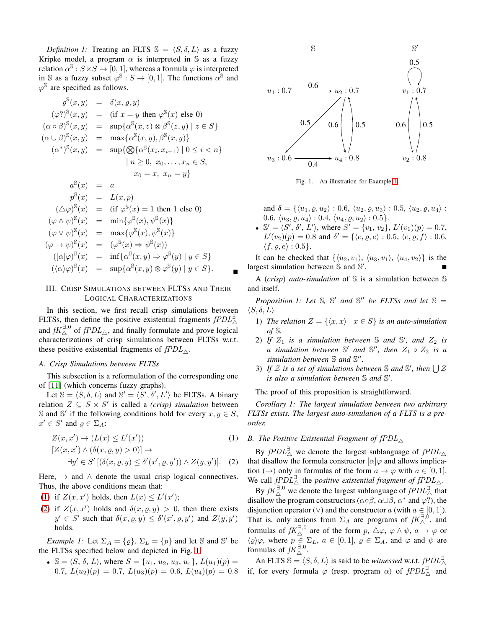*Definition 1:* Treating an FLTS  $\mathbb{S} = \langle S, \delta, L \rangle$  as a fuzzy Kripke model, a program  $\alpha$  is interpreted in S as a fuzzy relation  $\alpha^{s}: S \times S \rightarrow [0, 1]$ , whereas a formula  $\varphi$  is interpreted in S as a fuzzy subset  $\varphi^{\mathbb{S}}: S \to [0, 1]$ . The functions  $\alpha^{\mathbb{S}}$  and  $\varphi^{\mathbb{S}}$  are specified as follows.

$$
\varrho^{\mathbb{S}}(x, y) = \delta(x, \varrho, y)
$$
\n
$$
(\varphi?)^{\mathbb{S}}(x, y) = (\text{if } x = y \text{ then } \varphi^{\mathbb{S}}(x) \text{ else } 0)
$$
\n
$$
(\alpha \circ \beta)^{\mathbb{S}}(x, y) = \sup \{\alpha^{\mathbb{S}}(x, z) \otimes \beta^{\mathbb{S}}(z, y) \mid z \in S\}
$$
\n
$$
(\alpha \cup \beta)^{\mathbb{S}}(x, y) = \max \{\alpha^{\mathbb{S}}(x, y), \beta^{\mathbb{S}}(x, y)\}
$$
\n
$$
(\alpha^*)^{\mathbb{S}}(x, y) = \sup \{\bigotimes \{\alpha^{\mathbb{S}}(x_i, x_{i+1}) \mid 0 \le i < n\}
$$
\n
$$
n \ge 0, x_0, \dots, x_n \in S,
$$
\n
$$
x_0 = x, x_n = y\}
$$
\n
$$
\alpha^{\mathbb{S}}(x) = a
$$
\n
$$
\beta^{\mathbb{S}}(x) = L(x, p)
$$
\n
$$
(\Delta \varphi)^{\mathbb{S}}(x) = (\text{if } \varphi^{\mathbb{S}}(x) = 1 \text{ then } 1 \text{ else } 0)
$$
\n
$$
(\varphi \wedge \psi)^{\mathbb{S}}(x) = \min \{\varphi^{\mathbb{S}}(x), \psi^{\mathbb{S}}(x)\}
$$
\n
$$
(\varphi \rightarrow \psi)^{\mathbb{S}}(x) = (\varphi^{\mathbb{S}}(x) \Rightarrow \psi^{\mathbb{S}}(x))
$$
\n
$$
([\alpha]\varphi)^{\mathbb{S}}(x) = [\alpha^{\mathbb{S}}(x, y) \Rightarrow \varphi^{\mathbb{S}}(y)] \quad y \in S\}
$$
\n
$$
(\langle \alpha \rangle \varphi)^{\mathbb{S}}(x) = \sup \{\alpha^{\mathbb{S}}(x, y) \otimes \varphi^{\mathbb{S}}(y) \mid y \in S\}.
$$

## <span id="page-2-0"></span>III. CRISP SIMULATIONS BETWEEN FLTSS AND THEIR LOGICAL CHARACTERIZATIONS

In this section, we first recall crisp simulations between FLTSs, then define the positive existential fragments  $fPDL_{\triangle}^{\exists}$ and  $fK^{\exists,0}_{\triangle}$  of  $fPDL_{\triangle}$ , and finally formulate and prove logical characterizations of crisp simulations between FLTSs w.r.t. these positive existential fragments of  $fPDL_{\wedge}$ .

#### *A. Crisp Simulations between FLTSs*

This subsection is a reformulation of the corresponding one of [\[11\]](#page-7-6) (which concerns fuzzy graphs).

Let  $\mathbb{S} = \langle S, \delta, L \rangle$  and  $\mathbb{S}' = \langle S', \delta', L' \rangle$  be FLTSs. A binary relation  $Z \subseteq S \times S'$  is called a *(crisp)* simulation between S and S' if the following conditions hold for every  $x, y \in S$ ,  $x' \in S'$  and  $\varrho \in \Sigma_A$ :

<span id="page-2-1"></span>
$$
Z(x, x') \to (L(x) \le L'(x')) \tag{1}
$$
  
\n
$$
[Z(x, x') \land (\delta(x, \varrho, y) > 0)] \to
$$
  
\n
$$
Z(x, x') \land (\delta(x, \varrho, y) > 0) \to
$$
  
\n
$$
Z(x, y') \land (Z(x, y) > 0) \to Z(x, y') \to Z(x, y')
$$

$$
\exists y' \in S' \left[ (\delta(x, \varrho, y) \le \delta'(x', \varrho, y')) \wedge Z(y, y') \right]. \tag{2}
$$

Here,  $\rightarrow$  and  $\land$  denote the usual crisp logical connectives. Thus, the above conditions mean that:

- [\(1\)](#page-2-1) if  $Z(x, x')$  holds, then  $L(x) \leq L'(x')$ ;
- [\(2\)](#page-2-1) if  $Z(x, x')$  holds and  $\delta(x, \varrho, y) > 0$ , then there exists  $y' \in S'$  such that  $\delta(x, \rho, y) \leq \delta'(x', \rho, y')$  and  $Z(y, y')$ holds.

<span id="page-2-3"></span>*Example 1:* Let  $\Sigma_A = \{ \varrho \}$ ,  $\Sigma_L = \{ p \}$  and let S and S' be the FLTSs specified below and depicted in Fig. [1.](#page-2-2)

•  $\mathbb{S} = \langle S, \delta, L \rangle$ , where  $S = \{u_1, u_2, u_3, u_4\}, L(u_1)(p) =$ 0.7,  $L(u_2)(p) = 0.7$ ,  $L(u_3)(p) = 0.6$ ,  $L(u_4)(p) = 0.8$ 



<span id="page-2-2"></span>

and  $\delta = \{ \langle u_1, \varrho, u_2 \rangle : 0.6, \langle u_2, \varrho, u_3 \rangle : 0.5, \langle u_2, \varrho, u_4 \rangle :$ 0.6,  $\langle u_3, \varrho, u_4 \rangle : 0.4, \langle u_4, \varrho, u_2 \rangle : 0.5$ .

• S' =  $\langle S', \delta', L' \rangle$ , where  $S' = \{v_1, v_2\}$ ,  $L'(v_1)(p) = 0.7$ ,  $L'(v_2)(p) = 0.8$  and  $\delta' = \{ \langle e, \varrho, e \rangle : 0.5, \langle e, \varrho, f \rangle : 0.6, \}$  $\langle f, \rho, e \rangle : 0.5$ .

It can be checked that  $\{\langle u_2, v_1 \rangle, \langle u_3, v_1 \rangle, \langle u_4, v_2 \rangle\}$  is the largest simulation between S and S' .

A (*crisp*) *auto-simulation* of S is a simulation between S and itself.

*Proposition 1: Let*  $\mathbb{S}$ ,  $\mathbb{S}'$  *and*  $\mathbb{S}''$  *be FLTSs and let*  $\mathbb{S} =$  $\langle S, \delta, L \rangle$ .

- 1) *The relation*  $Z = \{ \langle x, x \rangle \mid x \in S \}$  *is an auto-simulation of* S*.*
- 2) If  $Z_1$  is a simulation between  $\mathbb S$  and  $\mathbb S'$ , and  $Z_2$  is  $\alpha$  simulation between  $\mathbb{S}'$  and  $\mathbb{S}''$ , then  $Z_1 \circ Z_2$  is a *simulation between* S *and* S ′′ *.*
- 3) If  $\mathcal Z$  is a set of simulations between  $\mathbb S$  and  $\mathbb S'$ , then  $\bigcup \mathcal Z$ *is also a simulation between* S *and* S ′ *.*

The proof of this proposition is straightforward.

*Corollary 1: The largest simulation between two arbitrary FLTSs exists. The largest auto-simulation of a FLTS is a preorder.*

#### *B. The Positive Existential Fragment of*  $fPDL_\wedge$

By  $fPDL^{\exists}_{\wedge}$  we denote the largest sublanguage of  $fPDL_{\wedge}$ that disallow the formula constructor  $\alpha | \varphi \rangle$  and allows implication  $(\rightarrow)$  only in formulas of the form  $a \rightarrow \varphi$  with  $a \in [0, 1]$ . We call  $fPDL^{\exists}_{\triangle}$  the *positive existential fragment of*  $fPDL^{\exists}_{\triangle}$ .

By  $fK^{\exists,0}_\triangle$  we denote the largest sublanguage of  $fPDL^{\exists}_\triangle$  that disallow the program constructors ( $\alpha \circ \beta$ ,  $\alpha \cup \beta$ ,  $\alpha^*$  and  $\varphi$ ?), the disjunction operator (∨) and the constructor a (with  $a \in [0, 1]$ ).<br>That is, only actions from  $\Sigma_A$  are programs of  $fK^{\exists,0}_\Delta$ , and formulas of  $fK_{\Delta}^{\exists,0}$  are of the form  $p, \Delta\varphi, \varphi \wedge \psi, a \rightarrow \varphi$  or  $\langle \varrho \rangle \varphi$ , where  $p \in \Sigma_L$ ,  $a \in [0, 1]$ ,  $\varrho \in \Sigma_A$ , and  $\varphi$  and  $\psi$  are formulas of  $fK_{\wedge}^{\exists,0}$ .

An FLTS  $\mathbb{S} = \langle S, \delta, L \rangle$  is said to be *witnessed* w.r.t. fPDL<sup> $\exists$ </sup> if, for every formula  $\varphi$  (resp. program  $\alpha$ ) of  $f P D L_{\triangle}^{\exists}$  and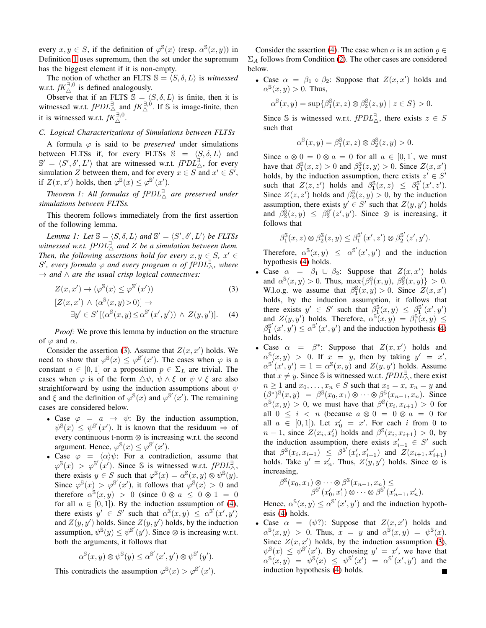every  $x, y \in S$ , if the definition of  $\varphi^{\mathbb{S}}(x)$  (resp.  $\alpha^{\mathbb{S}}(x, y)$ ) in Definition [1](#page-1-1) uses supremum, then the set under the supremum has the biggest element if it is non-empty.

The notion of whether an FLTS  $\mathbb{S} = \langle S, \delta, L \rangle$  is *witnessed* w.r.t.  $fK^{\exists,0}_{\wedge}$  is defined analogously.

Observe that if an FLTS  $\mathbb{S} = \langle S, \delta, L \rangle$  is finite, then it is witnessed w.r.t.  $fPDL^{\exists}_{\triangle}$  and  $fK^{\exists,0}_{\triangle}$ . If S is image-finite, then it is witnessed w.r.t.  $f\overline{K}_{\triangle}^{\exists,0}$ .

### *C. Logical Characterizations of Simulations between FLTSs*

A formula  $\varphi$  is said to be *preserved* under simulations between FLTSs if, for every FLTSs  $\mathbb{S} = \langle S, \delta, L \rangle$  and  $\mathbb{S}' = \langle S', \delta', L' \rangle$  that are witnessed w.r.t.  $fPDL^{\exists}_{\Delta}$ , for every simulation Z between them, and for every  $x \in S$  and  $x' \in S'$ , if  $Z(x, x')$  holds, then  $\varphi^{\mathbb{S}}(x) \leq \varphi^{\mathbb{S}'}(x')$ .

<span id="page-3-2"></span>*Theorem 1: All formulas of* fPDL<sup>∃</sup> △ *are preserved under simulations between FLTSs.*

This theorem follows immediately from the first assertion of the following lemma.

<span id="page-3-1"></span>*Lemma 1: Let*  $\mathbb{S} = \langle S, \delta, L \rangle$  *and*  $\mathbb{S}' = \langle S', \delta', L' \rangle$  *be FLTSs* witnessed w.r.t.  $fPDL^{\exists'}$  and  $Z$  be a simulation between them. *Then, the following assertions hold for every*  $x, y \in S$ ,  $x' \in$ S', every formula  $\varphi$  and every program  $\alpha$  of  $fPDL^{\exists}_{\wedge}$ , where → *and* ∧ *are the usual crisp logical connectives:*

<span id="page-3-0"></span>
$$
Z(x, x') \to (\varphi^{\mathbb{S}}(x) \le \varphi^{\mathbb{S}'}(x')) \tag{3}
$$

$$
[Z(x, x') \wedge (\alpha^{s}(x, y) > 0)] \rightarrow
$$
  

$$
\exists y' \in S' [(\alpha^{s}(x, y) \le \alpha^{s'}(x', y')) \wedge Z(y, y')].
$$
 (4)

*Proof:* We prove this lemma by induction on the structure of  $\varphi$  and  $\alpha$ .

Consider the assertion [\(3\)](#page-3-0). Assume that  $Z(x, x')$  holds. We need to show that  $\varphi^{s}(x) \leq \varphi^{s'}(x')$ . The cases when  $\varphi$  is a constant  $a \in [0, 1]$  or a proposition  $p \in \Sigma_L$  are trivial. The cases when  $\varphi$  is of the form  $\triangle \psi$ ,  $\psi \wedge \xi$  or  $\psi \vee \xi$  are also straightforward by using the induction assumptions about  $\psi$ and  $\xi$  and the definition of  $\varphi^{s}(x)$  and  $\varphi^{s'}(x')$ . The remaining cases are considered below.

- Case  $\varphi = a \rightarrow \psi$ : By the induction assumption,  $\psi^{\mathbb{S}}(x) \leq \psi^{\mathbb{S}'}(x')$ . It is known that the residuum  $\Rightarrow$  of every continuous t-norm  $\otimes$  is increasing w.r.t. the second argument. Hence,  $\varphi^{S}(x) \leq \varphi^{S'}(x')$ .
- Case  $\varphi = \langle \alpha \rangle \psi$ : For a contradiction, assume that  $\varphi^{s}(x) > \varphi^{s'}(x')$ . Since S is witnessed w.r.t.  $fPDL_{\Delta}^{1}$ , there exists  $y \in S$  such that  $\varphi^{\mathbb{S}}(x) = \alpha^{\mathbb{S}}(x, y) \otimes \psi^{\mathbb{S}}(y)$ . Since  $\varphi^{s}(x) > \varphi^{s'}(x')$ , it follows that  $\varphi^{s}(x) > 0$  and therefore  $\alpha^{\mathbb{S}}(x, y) > 0$  (since  $0 \otimes a \leq 0 \otimes 1 = 0$ for all  $a \in [0, 1]$ ). By the induction assumption of [\(4\)](#page-3-0), there exists  $y' \in S'$  such that  $\alpha^{\mathbb{S}}(x, y) \leq \alpha^{\mathbb{S}'}(x', y')$ and  $Z(y, y')$  holds. Since  $Z(y, y')$  holds, by the induction assumption,  $\psi^{\mathcal{S}}(y) \leq \psi^{\mathcal{S}'}(y')$ . Since  $\otimes$  is increasing w.r.t. both the arguments, it follows that

$$
\alpha^{\mathbb{S}}(x,y) \otimes \psi^{\mathbb{S}}(y) \leq \alpha^{\mathbb{S}'}(x',y') \otimes \psi^{\mathbb{S}'}(y').
$$

This contradicts the assumption  $\varphi^{\mathbb{S}}(x) > \varphi^{\mathbb{S}'}(x')$ .

Consider the assertion [\(4\)](#page-3-0). The case when  $\alpha$  is an action  $\rho \in$  $\Sigma_A$  follows from Condition [\(2\)](#page-2-1). The other cases are considered below.

• Case  $\alpha = \beta_1 \circ \beta_2$ : Suppose that  $Z(x, x')$  holds and  $\alpha^{\mathbb{S}}(x, y) > 0$ . Thus,

$$
\alpha^{\mathbb{S}}(x,y)=\sup\{\beta_1^{\mathbb{S}}(x,z)\otimes\beta_2^{\mathbb{S}}(z,y)\mid z\in S\}>0.
$$

Since S is witnessed w.r.t.  $fPDL_{\triangle}^{\exists}$ , there exists  $z \in S$ such that

$$
\alpha^{\mathbb{S}}(x,y) = \beta_1^{\mathbb{S}}(x,z) \otimes \beta_2^{\mathbb{S}}(z,y) > 0.
$$

Since  $a \otimes 0 = 0 \otimes a = 0$  for all  $a \in [0,1]$ , we must have that  $\beta_1^{\mathbb{S}}(x, z) > 0$  and  $\beta_2^{\mathbb{S}}(z, y) > 0$ . Since  $Z(x, x')$ holds, by the induction assumption, there exists  $z' \in S'$ such that  $Z(z, z')$  holds and  $\beta_1^{\mathbb{S}}(x, z) \leq \beta_1^{\mathbb{S}'}$  $_{1}^{\mathbb{S}'}(x',z').$ Since  $Z(z, z')$  holds and  $\beta_2^s(z, y) > 0$ , by the induction assumption, there exists  $y' \in S'$  such that  $Z(y, y')$  holds and  $\beta_2^{\mathbb{S}}(z, y) \leq \beta_2^{\mathbb{S}'}$  $2^s(z', y')$ . Since  $\otimes$  is increasing, it follows that

$$
\beta_1^{\mathbb{S}}(x, z) \otimes \beta_2^{\mathbb{S}}(z, y) \leq \beta_1^{\mathbb{S}'}(x', z') \otimes \beta_2^{\mathbb{S}'}(z', y').
$$

Therefore,  $\alpha^{\mathbb{S}}(x, y) \leq \alpha^{\mathbb{S}'}(x', y')$  and the induction hypothesis [\(4\)](#page-3-0) holds.

- Case  $\alpha = \beta_1 \cup \beta_2$ : Suppose that  $Z(x, x')$  holds and  $\alpha^{\mathbb{S}}(x, y) > 0$ . Thus,  $\max\{\beta_1^{\mathbb{S}}(x, y), \ \beta_2^{\mathbb{S}}(x, y)\} > 0$ . W.l.o.g. we assume that  $\beta_1^s(x,y) > 0$ . Since  $Z(x,x')$ holds, by the induction assumption, it follows that there exists  $y' \in S'$  such that  $\beta_1^{\mathbb{S}}(x, y) \leq \beta_1^{\mathbb{S}'}$  $\int_1^{\mathbb{S}'}(x',y')$ and  $Z(y, y')$  holds. Therefore,  $\alpha^{\mathcal{S}}(x, y) = \beta_1^{\mathcal{S}}(x, y) \leq$  $\beta_1^{\mathbb{S}'}$  $\int_{1}^{\mathbb{S}'} (x', y') \leq \alpha^{\mathbb{S}'} (x', y')$  and the induction hypothesis [\(4\)](#page-3-0) holds.
- Case  $\alpha = \beta^*$ : Suppose that  $Z(x, x')$  holds and  $\alpha^{\mathbb{S}}(x, y) > 0$ . If  $x = y$ , then by taking  $y' = x'$ ,  $\alpha^{S'}(x', y') = 1 = \alpha^{S}(x, y)$  and  $Z(y, y')$  holds. Assume that  $x \neq y$ . Since S is witnessed w.r.t.  $fPDL<sup>3</sup><sub>0</sub>$ , there exist  $n \geq 1$  and  $x_0, \ldots, x_n \in S$  such that  $x_0 = x, x_n = y$  and  $(\beta^*)^{\mathbb{S}}(x, y) = \beta^{\mathbb{S}}(x_0, x_1) \otimes \cdots \otimes \beta^{\mathbb{S}}(x_{n-1}, x_n)$ . Since  $\alpha^{\mathbb{S}}(x,y) > 0$ , we must have that  $\beta^{\mathbb{S}}(x_i, x_{i+1}) > 0$  for all  $0 \leq i \leq n$  (because  $a \otimes 0 = 0 \otimes a = 0$  for all  $a \in [0,1]$ ). Let  $x'_0 = x'$ . For each i from 0 to  $n-1$ , since  $Z(x_i, x'_i)$  holds and  $\beta^{\mathcal{S}}(x_i, x_{i+1}) > 0$ , by the induction assumption, there exists  $x'_{i+1} \in S'$  such that  $\beta^{s}(x_i, x_{i+1}) \leq \beta^{s'}(x'_i, x'_{i+1})$  and  $Z(x_{i+1}, x'_{i+1})$ holds. Take  $y' = x'_n$ . Thus,  $Z(y, y')$  holds. Since  $\otimes$  is increasing,

$$
\beta^{\mathbb{S}}(x_0, x_1) \otimes \cdots \otimes \beta^{\mathbb{S}}(x_{n-1}, x_n) \le \beta^{\mathbb{S}'}(x'_0, x'_1) \otimes \cdots \otimes \beta^{\mathbb{S}'}(x'_{n-1}, x'_n).
$$

Hence,  $\alpha^{\mathbb{S}}(x, y) \leq \alpha^{\mathbb{S}'}(x', y')$  and the induction hypothesis [\(4\)](#page-3-0) holds.

• Case  $\alpha = (\psi$ ?): Suppose that  $Z(x, x')$  holds and  $\alpha^{\mathbb{S}}(x, y) > 0$ . Thus,  $x = y$  and  $\alpha^{\mathbb{S}}(x, y) = \psi^{\mathbb{S}}(x)$ . Since  $Z(x, x')$  holds, by the induction assumption [\(3\)](#page-3-0),  $\psi^{\mathbb{S}}(x) \leq \psi^{\mathbb{S}'}(x')$ . By choosing  $y' = x'$ , we have that  $\alpha^{\mathbb{S}}(x,y) = \psi^{\mathbb{S}}(x) \leq \psi^{\mathbb{S}'}(x') = \alpha^{\mathbb{S}'}(x',y')$  and the induction hypothesis [\(4\)](#page-3-0) holds.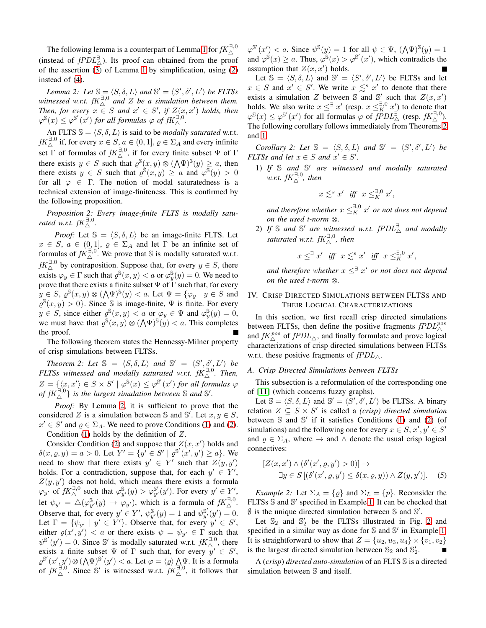The following lemma is a counterpart of Lemma [1](#page-3-1) for  $fK^{\exists,0}_{\triangle}$ (instead of  $f P D L$  $\stackrel{\exists}{\wedge}$ ). Its proof can obtained from the proof of the assertion [\(3\)](#page-3-0) of Lemma [1](#page-3-1) by simplification, using [\(2\)](#page-2-1) instead of [\(4\)](#page-3-0).

<span id="page-4-1"></span>*Lemma 2: Let*  $\mathbb{S} = \langle S, \delta, L \rangle$  *and*  $\mathbb{S}' = \langle S', \delta', L' \rangle$  *be FLTSs* witnessed w.r.t.  $fK_{\Delta}^{\exists,0}$  and Z be a simulation between them. *Then, for every*  $x \in S$  *and*  $x' \in S'$ *, if*  $Z(x, x')$  *holds, then*  $\varphi^{\mathbb{S}}(x) \leq \varphi^{\mathbb{S}'}(x')$  for all formulas  $\varphi$  of  $fK_{\Delta}^{\mathbb{R}^2,0}$ .

An FLTS  $\mathcal{S} = \langle S, \delta, L \rangle$  is said to be *modally saturated* w.r.t.  $fK_{\triangle}^{\exists,0}$  if, for every  $x \in S$ ,  $a \in (0,1]$ ,  $\varrho \in \Sigma_A$  and every infinite set  $\Gamma$  of formulas of  $fK^{\exists,0}_\wedge$ , if for every finite subset  $\Psi$  of  $\Gamma$ there exists  $y \in S$  such that  $\varrho^{\mathbb{S}}(x, y) \otimes (\bigwedge \Psi)^{\mathbb{S}}(y) \ge a$ , then there exists  $y \in S$  such that  $\varrho^{\hat{S}}(x, y) \ge a$  and  $\varphi^{\overline{S}}(y) > 0$ for all  $\varphi \in \Gamma$ . The notion of modal saturatedness is a technical extension of image-finiteness. This is confirmed by the following proposition.

*Proposition 2: Every image-finite FLTS is modally satu-rated w.r.t.*  $fK^{\exists,0}_{\wedge}$ .

*Proof:* Let  $\mathbb{S} = \langle S, \delta, L \rangle$  be an image-finite FLTS. Let  $x \in S$ ,  $a \in (0,1]$ ,  $\varrho \in \Sigma_A$  and let  $\Gamma$  be an infinite set of formulas of  $fK_{\wedge}^{\exists,0}$ . We prove that S is modally saturated w.r.t.  $fK_{\Delta}^{\exists,0}$  by contraposition. Suppose that, for every  $y \in S$ , there exists  $\varphi_y \in \Gamma$  such that  $\varrho^{\mathbb{S}}(x, y) < a$  or  $\varphi_y^{\mathbb{S}}(y) = 0$ . We need to prove that there exists a finite subset  $\Psi$  of  $\tilde{\Gamma}$  such that, for every  $y \in S$ ,  $\varrho^{\mathbb{S}}(x, y) \otimes (\bigwedge \Psi)^{\mathbb{S}}(y) < a$ . Let  $\Psi = {\varphi_y \mid y \in S}$  and  $\varrho^{\mathbb{S}}(x,y) > 0$ . Since S is image-finite,  $\Psi$  is finite. For every  $y \in S$ , since either  $\varrho^{\mathbb{S}}(x, y) < a$  or  $\varphi_y \in \Psi$  and  $\varphi_y^{\mathbb{S}}(y) = 0$ , we must have that  $\varrho^{\mathbb{S}}(x, y) \otimes (\bigwedge \Psi)^{\mathbb{S}}(y) < a$ . This completes the proof.

The following theorem states the Hennessy-Milner property of crisp simulations between FLTSs.

<span id="page-4-2"></span>*Theorem 2: Let*  $\mathbb{S} = \langle S, \delta, L \rangle$  *and*  $\mathbb{S}' = \langle S', \delta', L' \rangle$  *be FLTSs witnessed and modally saturated w.r.t.*  $fK_{\Delta}^{\exists,0}$ *. Then,*  $Z = \{ \langle x, x' \rangle \in S \times S' \mid \varphi^{\mathbb{S}}(x) \leq \varphi^{\mathbb{S}'}(x') \text{ for all formulas } \varphi$ of  $fK_{\Delta}^{\Xi,0}$  *is the largest simulation between* S and S'.

*Proof:* By Lemma [2,](#page-4-1) it is sufficient to prove that the considered Z is a simulation between S and S'. Let  $x, y \in S$ ,  $x' \in S'$  and  $\varrho \in \Sigma_A$ . We need to prove Conditions [\(1\)](#page-2-1) and [\(2\)](#page-2-1). Condition  $(1)$  holds by the definition of  $Z$ .

Consider Condition [\(2\)](#page-2-1) and suppose that  $Z(x, x')$  holds and  $\delta(x, \varrho, y) = a > 0$ . Let  $Y' = \{y' \in S' \mid \varrho^{S'}(x', y') \ge a\}$ . We need to show that there exists  $y' \in Y'$  such that  $Z(y, y')$ holds. For a contradiction, suppose that, for each  $y' \in Y'$ ,  $Z(y, y')$  does not hold, which means there exists a formula  $\varphi_{y'}$  of  $fK_{\Delta}^{\exists,0}$  such that  $\varphi_{y'}^{\mathbb{S}}(y) > \varphi_{y'}^{\mathbb{S}'}$  $\mathbb{S}'_y(y')$ . For every  $y' \in Y'$ , let  $\psi_{y'} = \triangle(\varphi_{y'}^{\mathbb{S}}(y) \to \varphi_{y'})$ , which is a formula of  $fK_{\triangle}^{\exists,0}$ . Observe that, for every  $y' \in Y'$ ,  $\psi_{y'}^{\mathbb{S}}(y) = 1$  and  $\psi_{y'}^{\mathbb{S}'}(y') = 0$ . Let  $\Gamma = \{\psi_{y'} \mid y' \in Y'\}$ . Observe that, for every  $y' \in S'$ , either  $\varrho(x', y') < a$  or there exists  $\psi = \psi_{y'} \in \Gamma$  such that  $\psi^{\mathcal{S}'}(y') = 0$ . Since S' is modally saturated w.r.t.  $fK_{\Delta}^{\exists,0}$ , there exists a finite subset  $\Psi$  of  $\Gamma$  such that, for every  $\overrightarrow{y}' \in S'$ ,  $\varrho^{\mathbb{S}'}(x', y') \otimes (\bigwedge \Psi)^{\mathbb{S}'}(y') < a$ . Let  $\varphi = \langle \varrho \rangle \bigwedge^{\mathbb{S}'} \Psi$ . It is a formula<br>of  $fK_{\triangle}^{\mathbb{R},0}$ . Since  $\mathbb{S}'$  is witnessed w.r.t.  $fK_{\triangle}^{\mathbb{R},0}$ , it follows that  $\varphi^{\mathcal{S}'}(x') < a$ . Since  $\psi^{\mathcal{S}}(y) = 1$  for all  $\psi \in \Psi$ ,  $(\bigwedge \Psi)^{\mathcal{S}}(y) = 1$ and  $\varphi^{\mathcal{S}}(x) \geq a$ . Thus,  $\varphi^{\mathcal{S}}(x) > \varphi^{\mathcal{S}}(x')$ , which contradicts the assumption that  $Z(x, x')$  holds.

Let  $\mathbb{S} = \langle S, \delta, L \rangle$  and  $\mathbb{S}' = \langle S', \delta', L' \rangle$  be FLTSs and let  $x \in S$  and  $x' \in S'$ . We write  $x \leq s$  x' to denote that there exists a simulation Z between  $\mathbb{S}$  and  $\mathbb{S}'$  such that  $Z(x, x')$ holds. We also write  $x \leq^{\exists} x'$  (resp.  $x \leq^{\exists,0}_K x'$ ) to denote that  $\varphi^{\mathbb{S}}(x) \leq \varphi^{\mathbb{S}'}(x')$  for all formulas  $\varphi$  of  $fPDL_{\Delta}^{\exists}$  (resp.  $fK_{\Delta}^{\exists,0}$ ). The following corollary follows immediately from Theorems [2](#page-4-2) and [1.](#page-3-2)

*Corollary 2: Let*  $\mathbb{S} = \langle S, \delta, L \rangle$  *and*  $\mathbb{S}' = \langle S', \delta', L' \rangle$  *be FLTSs and let*  $x \in S$  *and*  $x' \in S'$ *.* 

1) *If* S *and* S ′ *are witnessed and modally saturated*  $w.r.t.$   $fK^{\exists,0}_{\triangle}$ , then

$$
x\lesssim^s x'\ \ \textit{iff}\ \ x\leq^{\exists,0}_K x',
$$

and therefore whether  $x \leq^{\exists,0}_K x'$  or not does not depend *on the used t-norm*  $\otimes$ .

2) If S and S' are witnessed w.r.t.  $fPDL^{\exists}_{\triangle}$  and modally *saturated w.r.t.* fK<sup>∃</sup>,<sup>0</sup> △ *, then*

 $x \leq^{\exists} x'$  *iff*  $x \leq^s x'$  *iff*  $x \leq^{\exists,0}_{K} x'$ ,

*and therefore whether* x ≤<sup>∃</sup> x ′ *or not does not depend on the used t-norm*  $\otimes$ .

## <span id="page-4-0"></span>IV. CRISP DIRECTED SIMULATIONS BETWEEN FLTSS AND THEIR LOGICAL CHARACTERIZATIONS

In this section, we first recall crisp directed simulations between FLTSs, then define the positive fragments  $fPDL^{pos}_{\triangle}$ and  $fK^{pos}_{\triangle}$  of  $fPDL_{\triangle}$ , and finally formulate and prove logical characterizations of crisp directed simulations between FLTSs w.r.t. these positive fragments of  $fPDL_{\wedge}$ .

## *A. Crisp Directed Simulations between FLTSs*

This subsection is a reformulation of the corresponding one of [\[11\]](#page-7-6) (which concerns fuzzy graphs).

Let  $\mathbb{S} = \langle S, \delta, L \rangle$  and  $\mathbb{S}' = \langle S', \delta', L' \rangle$  be FLTSs. A binary relation  $Z \subseteq S \times S'$  is called a *(crisp)* directed simulation between  $\Im$  and  $\Im'$  if it satisfies Conditions [\(1\)](#page-2-1) and [\(2\)](#page-2-1) (of simulations) and the following one for every  $x \in S$ ,  $x', y' \in S'$ and  $\varrho \in \Sigma_A$ , where  $\rightarrow$  and  $\wedge$  denote the usual crisp logical connectives:

<span id="page-4-4"></span>
$$
[Z(x, x') \wedge (\delta'(x', \varrho, y') > 0)] \rightarrow \exists y \in S [(\delta'(x', \varrho, y') \le \delta(x, \varrho, y)) \wedge Z(y, y')]. \quad (5)
$$

<span id="page-4-3"></span>*Example 2:* Let  $\Sigma_A = \{ \varrho \}$  and  $\Sigma_L = \{ p \}$ . Reconsider the FLTSs  $\hat{S}$  and  $\hat{S}'$  specified in Example [1.](#page-2-3) It can be checked that  $\emptyset$  is the unique directed simulation between  $\mathbb S$  and  $\mathbb S'$ .

Let  $\mathbb{S}_2$  and  $\mathbb{S}'_2$  be the FLTSs illustrated in Fig. [2](#page-5-0) and specified in a similar way as done for  $\Im$  and  $\Im'$  in Example [1.](#page-2-3) It is straightforward to show that  $Z = \{u_2, u_3, u_4\} \times \{v_1, v_2\}$ is the largest directed simulation between  $\mathbb{S}_2$  and  $\mathbb{S}'_2$ .

A (*crisp*) *directed auto-simulation* of an FLTS S is a directed simulation between S and itself.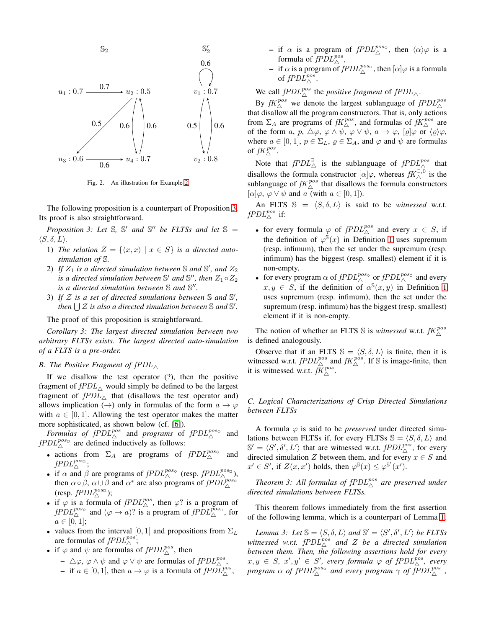

<span id="page-5-0"></span>Fig. 2. An illustration for Example [2.](#page-4-3)

The following proposition is a counterpart of Proposition [3.](#page-5-1) Its proof is also straightforward.

<span id="page-5-1"></span>*Proposition 3: Let*  $\mathbb{S}$ ,  $\mathbb{S}'$  *and*  $\mathbb{S}''$  *be FLTSs and let*  $\mathbb{S}$  =  $\langle S, \delta, L \rangle$ .

- 1) *The relation*  $Z = \{ \langle x, x \rangle \mid x \in S \}$  *is a directed autosimulation of* S*.*
- 2) If  $Z_1$  is a directed simulation between  $\mathbb S$  and  $\mathbb S'$ , and  $Z_2$ is a directed simulation between  $\mathbb{S}'$  and  $\mathbb{S}''$ , then  $Z_1 \circ Z_2$ *is a directed simulation between* S *and* S ′′ *.*
- 3) If  $\mathcal Z$  is a set of directed simulations between  $\mathbb S$  and  $\mathbb S'$ , then  $\bigcup \mathcal{Z}$  is also a directed simulation between  $\mathbb S$  and  $\mathbb S'.$

The proof of this proposition is straightforward.

*Corollary 3: The largest directed simulation between two arbitrary FLTSs exists. The largest directed auto-simulation of a FLTS is a pre-order.*

## *B. The Positive Fragment of*  $fPDL_{\Delta}$

If we disallow the test operator (?), then the positive fragment of  $fPDL_{\triangle}$  would simply be defined to be the largest fragment of  $fPDL_{\triangle}$  that (disallows the test operator and) allows implication  $(\rightarrow)$  only in formulas of the form  $a \rightarrow \varphi$ with  $a \in [0, 1]$ . Allowing the test operator makes the matter more sophisticated, as shown below (cf. [\[6\]](#page-7-4)).

*Formulas of*  $fPDL_{\wedge}^{pos}$  and *programs* of  $fPDL_{\wedge}^{pos}$  and  $fPDL_{\triangle}^{pos_{\Box}}$  are defined inductively as follows:

- actions from  $\Sigma_A$  are programs of  $fPDL_{\triangle}^{pos\diamond}$  and  $fPDL_{\triangle}^{pos_{\Box}};$
- if  $\alpha$  and  $\beta$  are programs of  $fPDL_{\wedge}^{pos_{\diamond}}$  (resp.  $fPDL_{\wedge}^{pos_{\square}}$ ), then  $\alpha \circ \beta$ ,  $\alpha \cup \beta$  and  $\alpha^*$  are also programs of  $fPD\overline{L}_{\Delta}^{pos_{\diamond}}$ (resp.  $fPDL_{\wedge}^{pos_{\Box}}$ );
- if  $\varphi$  is a formula of  $f P D L_{\triangle}^{pos}$ , then  $\varphi$ ? is a program of  $fPDL_{\wedge}^{pos_{\heartsuit}}$  and  $(\varphi \to a)$ ? is a program of  $fPDL_{\wedge}^{pos_{\heartsuit}}$ , for  $a \in [0, 1];$
- values from the interval [0, 1] and propositions from  $\Sigma_L$ are formulas of  $fPDL_{\triangle}^{pos}$ ;
- if  $\varphi$  and  $\psi$  are formulas of  $fPDL_{\wedge}^{pos}$ , then
	- $\triangle \varphi$ ,  $\varphi \wedge \psi$  and  $\varphi \vee \psi$  are formulas of  $fPDL^{pos}_{\wedge}$ , - if  $a \in [0,1]$ , then  $a \to \varphi$  is a formula of  $fPD\overline{L}_{\triangle}^{pos}$ ,
- if  $\alpha$  is a program of  $f P D L^{pos\diamond}_{\wedge}$ , then  $\langle \alpha \rangle \varphi$  is a formula of  $fPDL_{\triangle}^{pos}$ ,
- if  $\alpha$  is a program of  $fPDL_{\wedge}^{pos_{\Box}}$ , then  $[\alpha]\varphi$  is a formula of  $fPL^{pos}_{\triangle}$ .

We call  $fPDL_{\wedge}^{pos}$  the *positive fragment* of  $fPDL_{\wedge}$ .

By  $fK^{pos}_{\triangle}$  we denote the largest sublanguage of  $fPDL^{pos}_{\triangle}$ that disallow all the program constructors. That is, only actions from  $\Sigma_A$  are programs of  $fK^{pos}_{\triangle}$ , and formulas of  $fK^{pos}_{\triangle}$  are of the form a, p,  $\triangle \varphi$ ,  $\varphi \wedge \psi$ ,  $\varphi \vee \psi$ ,  $a \rightarrow \varphi$ ,  $[\varrho] \varphi$  or  $\langle \varrho \rangle \varphi$ , where  $a \in [0, 1]$ ,  $p \in \Sigma_L$ ,  $\varrho \in \Sigma_A$ , and  $\varphi$  and  $\psi$  are formulas of  $fK^{pos}_{\triangle}$ .

Note that  $f P D L_{\triangle}^{\exists}$  is the sublanguage of  $f P D L_{\triangle}^{pos}$  that disallows the formula constructor  $[\alpha]\varphi$ , whereas  $fK_{\Delta}^{\overline{\exists},0}$  is the sublanguage of  $fK^{pos}_{\wedge}$  that disallows the formula constructors  $[\alpha] \varphi, \varphi \vee \psi$  and a (with  $a \in [0,1]$ ).

An FLTS  $\mathbb{S} = \langle S, \delta, L \rangle$  is said to be *witnessed* w.r.t.  $fPDL^{pos}_{\triangle}$  if:

- for every formula  $\varphi$  of  $fPDL_{\triangle}^{pos}$  and every  $x \in S$ , if the definition of  $\varphi^{s}(x)$  in Definition [1](#page-1-1) uses supremum (resp. infimum), then the set under the supremum (resp. infimum) has the biggest (resp. smallest) element if it is non-empty,
- for every program  $\alpha$  of  $fPDL_{\wedge}^{pos_{\diamond}}$  or  $fPDL_{\wedge}^{pos_{\square}}$  and every  $x, y \in S$ , if the definition of  $\alpha^{S}(x, y)$  in Definition [1](#page-1-1) uses supremum (resp. infimum), then the set under the supremum (resp. infimum) has the biggest (resp. smallest) element if it is non-empty.

The notion of whether an FLTS S is *witnessed* w.r.t.  $fK^{pos}_{\wedge}$ is defined analogously.

Observe that if an FLTS  $\mathbb{S} = \langle S, \delta, L \rangle$  is finite, then it is witnessed w.r.t.  $fPDL_{\triangle}^{pos}$  and  $fK_{\triangle}^{pos}$ . If S is image-finite, then it is witnessed w.r.t.  $f\overline{K}^{pos}_{\wedge}$ .

## *C. Logical Characterizations of Crisp Directed Simulations between FLTSs*

A formula  $\varphi$  is said to be *preserved* under directed simulations between FLTSs if, for every FLTSs  $\mathbb{S} = \langle S, \delta, L \rangle$  and  $\mathbb{S}' = \langle S', \delta', L' \rangle$  that are witnessed w.r.t.  $fPDL^{pos}_{\wedge}$ , for every directed simulation Z between them, and for every  $x \in S$  and  $x' \in S'$ , if  $Z(x, x')$  holds, then  $\varphi^{\mathbb{S}}(x) \leq \varphi^{\mathbb{S}'}(x')$ .

<span id="page-5-3"></span>Theorem 3: All formulas of fPDL<sup>pos</sup> are preserved under *directed simulations between FLTSs.*

This theorem follows immediately from the first assertion of the following lemma, which is a counterpart of Lemma [1.](#page-3-1)

<span id="page-5-2"></span>*Lemma 3: Let*  $\mathbb{S} = \langle S, \delta, L \rangle$  *and*  $\mathbb{S}' = \langle S', \delta', L' \rangle$  *be FLTSs* witnessed w.r.t.  $fPDL_{\wedge}^{pos}$  and Z be a directed simulation *between them. Then, the following assertions hold for every*  $x, y \in S$ ,  $x', y' \in S'$ , every formula  $\varphi$  of  $fPDL_{\wedge}^{pos}$ , every *program*  $\alpha$  *of fPDL* $_{\triangle}^{pos_{\heartsuit}}$  *and every program*  $\gamma$  *of fPDL* $_{\triangle}^{pos_{\heartsuit}}$ ,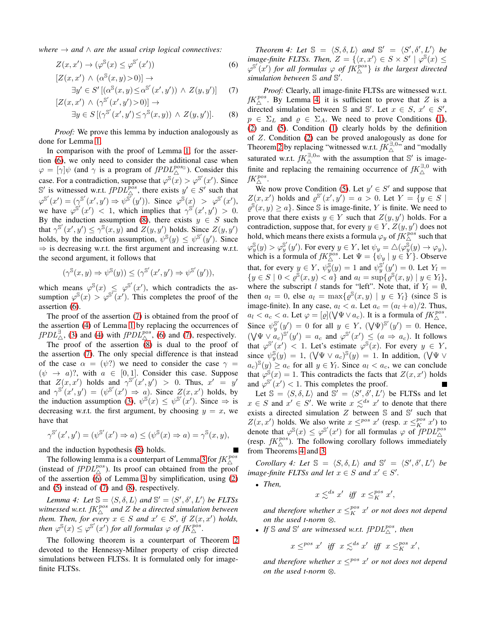*where*  $\rightarrow$  *and*  $\land$  *are the usual crisp logical connectives:* 

<span id="page-6-0"></span>
$$
Z(x, x') \to (\varphi^{\mathbb{S}}(x) \le \varphi^{\mathbb{S}'}(x')) \tag{6}
$$
  
\n
$$
[Z(x, x') \land (\alpha^{\mathbb{S}}(x, y) > 0)] \to
$$
  
\n
$$
\exists x' \in S' \cup S(x, y) \le S' \cup S'(x', y') \land Z(x, y') \tag{7}
$$

$$
\exists y' \in S' \left[ (\alpha^{\mathbb{S}}(x, y) \le \alpha^{\mathbb{S}'}(x', y')) \land Z(y, y') \right] \tag{7}
$$

$$
\left[ Z(x, x') \land (\gamma^{\mathbb{S}'}(x', y') > 0) \right] \to
$$

$$
\exists y \in S \left[ (\gamma^{\mathbb{S}'}(x', y') \le \gamma^{\mathbb{S}}(x, y)) \land Z(y, y') \right]. \tag{8}
$$

*Proof:* We prove this lemma by induction analogously as done for Lemma [1.](#page-3-1)

In comparison with the proof of Lemma [1,](#page-3-1) for the assertion [\(6\)](#page-6-0), we only need to consider the additional case when  $\varphi = [\gamma] \psi$  (and  $\gamma$  is a program of  $f P D L^{pos}$ ). Consider this case. For a contradiction, suppose that  $\varphi^{s}(x) > \varphi^{s'}(x')$ . Since S' is witnessed w.r.t.  $fPDL_{\triangle}^{pos}$ , there exists  $y' \in S'$  such that  $\varphi^{\mathbb{S}'}(x') = (\gamma^{\mathbb{S}'}(x', y') \Rightarrow \psi^{\mathbb{S}'}(y'))$ . Since  $\varphi^{\mathbb{S}}(x) > \varphi^{\mathbb{S}'}(x')$ , we have  $\varphi^{s'}(x') < 1$ , which implies that  $\gamma^{s'}(x', y') > 0$ . By the induction assumption [\(8\)](#page-6-0), there exists  $y \in S$  such that  $\gamma^{S'}(x', y') \leq \gamma^{S}(x, y)$  and  $Z(y, y')$  holds. Since  $Z(y, y')$ holds, by the induction assumption,  $\psi^{\mathbb{S}}(y) \leq \psi^{\mathbb{S}'}(y')$ . Since  $\Rightarrow$  is decreasing w.r.t. the first argument and increasing w.r.t. the second argument, it follows that

$$
(\gamma^{\mathbb{S}}(x,y) \Rightarrow \psi^{\mathbb{S}}(y)) \leq (\gamma^{\mathbb{S}'}(x',y') \Rightarrow \psi^{\mathbb{S}'}(y')),
$$

which means  $\varphi^{s}(x) \leq \varphi^{s'}(x')$ , which contradicts the assumption  $\varphi^{s}(x) > \varphi^{s'}(x')$ . This completes the proof of the assertion [\(6\)](#page-6-0).

The proof of the assertion [\(7\)](#page-6-0) is obtained from the proof of the assertion [\(4\)](#page-3-0) of Lemma [1](#page-3-1) by replacing the occurrences of  $fPDL^{\exists}_{\triangle}$ , [\(3\)](#page-3-0) and [\(4\)](#page-3-0) with  $fPDL^{pos}_{\triangle}$ , [\(6\)](#page-6-0) and [\(7\)](#page-6-0), respectively.

The proof of the assertion [\(8\)](#page-6-0) is dual to the proof of the assertion [\(7\)](#page-6-0). The only special difference is that instead of the case  $\alpha = (\psi)$  we need to consider the case  $\gamma =$  $(\psi \rightarrow a)$ ?, with  $a \in [0,1]$ . Consider this case. Suppose that  $Z(x, x')$  holds and  $\gamma^{S'}(x', y') > 0$ . Thus,  $x' = y'$ and  $\gamma^{S'}(x', y') = (\psi^{S'}(x') \Rightarrow a)$ . Since  $Z(x, x')$  holds, by the induction assumption [\(3\)](#page-3-0),  $\psi^{\mathbb{S}}(x) \leq \psi^{\mathbb{S}'}(x')$ . Since  $\Rightarrow$  is decreasing w.r.t. the first argument, by choosing  $y = x$ , we have that

$$
\gamma^{\mathbb{S}'}(x',y') = (\psi^{\mathbb{S}'}(x') \Rightarrow a) \le (\psi^{\mathbb{S}}(x) \Rightarrow a) = \gamma^{\mathbb{S}}(x,y),
$$

and the induction hypothesis [\(8\)](#page-6-0) holds.

The following lemma is a counterpart of Lemma [3](#page-5-2) for  $fK^{pos}_{\triangle}$ (instead of  $fPDL_{\triangle}^{pos}$ ). Its proof can obtained from the proof of the assertion [\(6\)](#page-6-0) of Lemma [3](#page-5-2) by simplification, using [\(2\)](#page-2-1) and [\(5\)](#page-4-4) instead of [\(7\)](#page-6-0) and [\(8\)](#page-6-0), respectively.

<span id="page-6-1"></span>*Lemma 4: Let*  $\mathbb{S} = \langle S, \delta, L \rangle$  *and*  $\mathbb{S}' = \langle S', \delta', L' \rangle$  *be FLTSs* witnessed w.r.t.  $\mathfrak{f}K^{pos}_{\triangle}$  and  $Z$  be a directed simulation between *them. Then, for every*  $x \in S$  *and*  $x' \in S'$ *, if*  $Z(x, x')$  *holds, then*  $\varphi^{s}(x) \leq \varphi^{s'}(x')$  *for all formulas*  $\varphi$  *of fK*<sup>*pos*</sup>.

<span id="page-6-2"></span>The following theorem is a counterpart of Theorem [2](#page-4-2) devoted to the Hennessy-Milner property of crisp directed simulations between FLTSs. It is formulated only for imagefinite FLTSs.

*Theorem 4: Let*  $\mathbb{S} = \langle S, \delta, L \rangle$  *and*  $\mathbb{S}' = \langle S', \delta', L' \rangle$  *be image-finite FLTSs. Then,*  $Z = \{ \langle x, x' \rangle \in S \times S' \mid \varphi^{\mathbb{S}}(x) \leq \varphi \}$  $\varphi^{S'}(x')$  for all formulas  $\varphi$  of  $fK^{pos}_{\triangle}$  is the largest directed *simulation between* S *and* S ′ *.*

*Proof:* Clearly, all image-finite FLTSs are witnessed w.r.t.  $fK^{pos}_{\triangle}$ . By Lemma [4,](#page-6-1) it is sufficient to prove that Z is a directed simulation between S and S'. Let  $x \in S$ ,  $x' \in S'$ ,  $p \in \Sigma_L$  and  $\rho \in \Sigma_A$ . We need to prove Conditions [\(1\)](#page-2-1), [\(2\)](#page-2-1) and [\(5\)](#page-4-4). Condition [\(1\)](#page-2-1) clearly holds by the definition of Z. Condition [\(2\)](#page-2-1) can be proved analogously as done for Theorem [2](#page-4-2) by replacing "witnessed w.r.t.  $fK_{\Delta}^{\exists,0,0}$  and "modally" saturated w.r.t.  $fK_{\triangle}^{\exists,0}$  with the assumption that S' is imagefinite and replacing the remaining occurrence of  $fK_{\wedge}^{\exists,0}$  with  $\mathit{fK}^\mathit{pos}_\triangle$  .

We now prove Condition [\(5\)](#page-4-4). Let  $y' \in S'$  and suppose that  $Z(x, x')$  holds and  $\varrho^{\mathbb{S}'}(x', y') = a > 0$ . Let  $Y = \{y \in S \mid$  $\varrho^{\mathcal{S}}(x, y) \geq a$ . Since S is image-finite, Y is finite. We need to prove that there exists  $y \in Y$  such that  $Z(y, y')$  holds. For a contradiction, suppose that, for every  $y \in Y$ ,  $Z(y, y')$  does not hold, which means there exists a formula  $\varphi_y$  of  $fK^{pos}_{\triangle}$  such that  $\varphi_y^{\mathbb{S}}(y) > \varphi_y^{\mathbb{S}'}$  $y^{\mathbb{S}'}(y')$ . For every  $y \in Y$ , let  $\psi_y = \triangle(\varphi_y^{\mathbb{S}}(y) \to \varphi_y)$ , which is a formula of  $fK^{pos}_{\wedge}$ . Let  $\Psi = {\psi_y | y \in Y}$ . Observe that, for every  $y \in Y$ ,  $\psi_y^{\overline{S}}(y) = 1$  and  $\psi_y^{\overline{S}'}$  $y''_y(y') = 0$ . Let  $Y_l =$  ${y \in S \mid 0 < \varrho^{\mathbb{S}}(x, y) < a}$  and  $a_l = \sup \{ \varrho^{\mathbb{S}}(x, y) \mid y \in Y_l \},$ where the subscript l stands for "left". Note that, if  $Y_l = \emptyset$ , then  $a_l = 0$ , else  $a_l = \max\{\varrho^{\mathbb{S}}(x, y) \mid y \in Y_l\}$  (since  $\mathbb{S}$  is image-finite). In any case,  $a_l < a$ . Let  $a_c = (a_l + a)/2$ . Thus,  $a_l < a_c < a$ . Let  $\varphi = [\varrho](\bigvee \Psi \vee a_c)$ . It is a formula of  $fK^{pos}_{\Delta}$ . Since  $\psi_u^{\mathbb{S}'}$  $y^{s'}(y') = 0$  for all  $y \in Y$ ,  $(\forall \Psi)^{s'}(y') = 0$ . Hence,  $(\bigvee \Psi \vee a_c)^{s'}(y') = a_c$  and  $\varphi^{s'}(x') \leq (a \Rightarrow a_c)$ . It follows that  $\varphi^{S'}(x') < 1$ . Let's estimate  $\varphi^{S'}(x)$ . For every  $y \in Y$ , since  $\psi_y^{\mathbb{S}}(y) = 1$ ,  $(\forall \Psi \lor a_c)^{\mathbb{S}}(y) = 1$ . In addition,  $(\forall \Psi \lor a_c)^{\mathbb{S}}(y)$  $(a_c)^{s}(y) \ge a_c$  for all  $y \in Y_l$ . Since  $a_l < a_c$ , we can conclude that  $\varphi^{\hat{S}}(x) = 1$ . This contradicts the facts that  $Z(x, x')$  holds and  $\varphi^{S'}(x') < 1$ . This completes the proof.

Let  $\mathbb{S} = \langle S, \delta, L \rangle$  and  $\mathbb{S}' = \langle S', \delta', L' \rangle$  be FLTSs and let  $x \in S$  and  $x' \in S'$ . We write  $x \leq^{ds} x'$  to denote that there exists a directed simulation  $Z$  between  $S$  and  $S'$  such that  $Z(x, x')$  holds. We also write  $x \leq^{pos} x'$  (resp.  $x \leq^{pos} x'$ ) to denote that  $\varphi^{s}(x) \leq \varphi^{s'}(x')$  for all formulas  $\varphi$  of  $fPDL_{\triangle}^{pos}$ (resp.  $fK^{pos}_{\wedge}$ ). The following corollary follows immediately from Theorems [4](#page-6-2) and [3.](#page-5-3)

*Corollary 4: Let*  $\mathbb{S} = \langle S, \delta, L \rangle$  *and*  $\mathbb{S}' = \langle S', \delta', L' \rangle$  *be image-finite FLTSs and let*  $x \in S$  *and*  $x' \in S'$ *.* 

• *Then,*

$$
x \lesssim^{ds} x' \text{ iff } x \leq_K^{pos} x',
$$

and therefore whether  $x \leq_K^{pos} x'$  or not does not depend *on the used t-norm*  $\otimes$ .

• If S and S' are witnessed w.r.t.  $fPDL_{\triangle}^{pos}$ , then

 $x \leq^{pos} x'$  *iff*  $x \leq^{ds} x'$  *iff*  $x \leq^{pos} x'$ ,

and therefore whether  $x \leq^{pos} x'$  or not does not depend *on the used t-norm*  $\otimes$ .